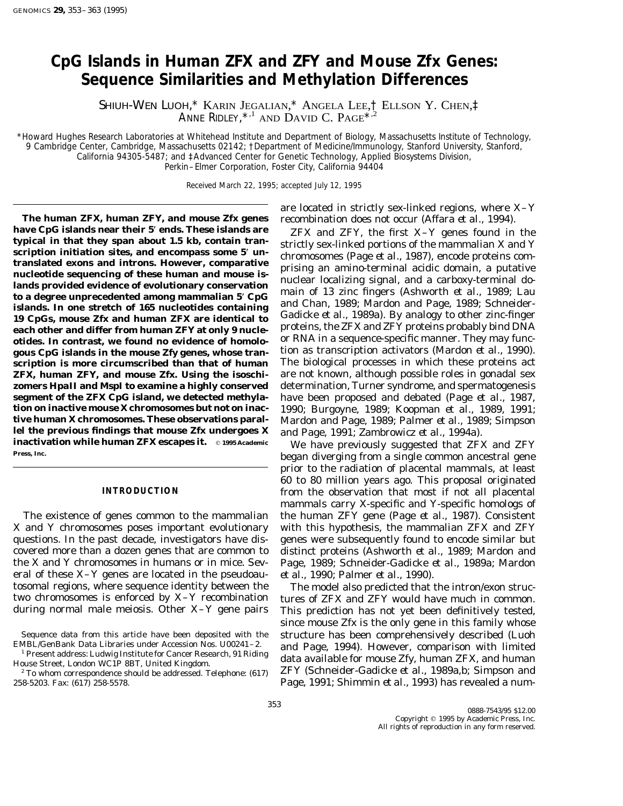# **CpG Islands in Human** *ZFX* **and** *ZFY* **and Mouse** *Zfx* **Genes: Sequence Similarities and Methylation Differences**

SHIUH-WEN LUOH,\* KARIN JEGALIAN,\* ANGELA LEE,† ELLSON Y. CHEN,‡ Anne Ridley,  $^{\star,1}$  and David C. Page $^{\star,2}$ 

\**Howard Hughes Research Laboratories at Whitehead Institute and Department of Biology, Massachusetts Institute of Technology, 9 Cambridge Center, Cambridge, Massachusetts 02142;* †*Department of Medicine/Immunology, Stanford University, Stanford, California 94305-5487; and* ‡*Advanced Center for Genetic Technology, Applied Biosystems Division, Perkin–Elmer Corporation, Foster City, California 94404*

Received March 22, 1995; accepted July 12, 1995

**The human** *ZFX,* **human** *ZFY,* **and mouse** *Zfx* **genes** recombination does not occur (Affara *et al.,* 1994). have CpG islands near their 5' ends. These islands are<br>
typical in that they span about 1.5 kb, contain tran-<br>
scription initiation sites, and encompass some 5' un-<br>
translated exons and introns. However, comparative<br>
muc **each other and differ from human** *ZFY* **at only 9 nucle-** proteins, the ZFX and ZFY proteins probably bind DNA **otides. In contrast, we found no evidence of homolo-** or RNA in a sequence-specific manner. They may func-<br>gous CpG islands in the mouse *Zfv* genes, whose tran-<br>tion as transcription activators (Mardon *et al.,* 1990). gous CpG islands in the mouse *Zfy* genes, whose tran**scription is more circumscribed than that of human** The biological processes in which these proteins act *ZFX,* **human** *ZFY,* **and mouse** *Zfx.* **Using the isoschi-** are not known, although possible roles in gonadal sex **zomers** *Hpa***II and** *Msp***I to examine a highly conserved** determination, Turner syndrome, and spermatogenesis **segment of the** *ZFX* **CpG island, we detected methyla-** have been proposed and debated (Page *et al.,* 1987, **tion on inactive mouse X chromosomes but not on inac-** 1990; Burgoyne, 1989; Koopman *et al.,* 1989, 1991; **tive human X chromosomes. These observations paral-** Mardon and Page, 1989; Palmer *et al.,* 1989; Simpson **lel the previous findings that mouse** *Zfx* **undergoes X** and Page, 1991; Zambrowicz *et al.,* 1994a). **inactivation while human** *ZFX* **escapes it.**  $\circ$  1995 Academic We have previously suggested that *ZFX* and *ZFY*<br>Press. Inc. **pressed to a contract of the contract of the secondition of from a single semmen appeartnal gam** 

X and Y chromosomes poses important evolutionary with this hypothesis, the mammalian *ZFX* and *ZFY* questions. In the past decade, investigators have dis- genes were subsequently found to encode similar but covered more than a dozen genes that are common to distinct proteins (Ashworth *et al.,* 1989; Mardon and the X and Y chromosomes in humans or in mice. Sev- Page, 1989; Schneider-Gadicke *et al.,* 1989a; Mardon eral of these X–Y genes are located in the pseudoau- *et al.,* 1990; Palmer *et al.,* 1990). tosomal regions, where sequence identity between the The model also predicted that the intron/exon structive chromosomes is enforced by  $X-Y$  recombination tures of  $ZFX$  and  $ZFY$  would have much in common.

are located in strictly sex-linked regions, where X–Y

**Press, Inc.** began diverging from a single common ancestral gene prior to the radiation of placental mammals, at least 60 to 80 million years ago. This proposal originated **INTRODUCTION** from the observation that most if not all placental mammals carry X-specific and Y-specific homologs of The existence of genes common to the mammalian the human *ZFY* gene (Page *et al.,* 1987). Consistent

tures of *ZFX* and *ZFY* would have much in common. during normal male meiosis. Other X–Y gene pairs This prediction has not yet been definitively tested, since mouse *Zfx* is the only gene in this family whose Sequence data from this article have been deposited with the structure has been comprehensively described (Luoh EMBL/GenBank Data Libraries under Accession Nos. U00241-2. and Page 1994) However comparison with limited EMBL/GenBank Data Libraries under Accession Nos. U00241-2.<br><sup>1</sup> Present address: Ludwig Institute for Cancer Research, 91 Riding<br>House Street, London WC1P 8BT, United Kingdom.<br>1 CITY (Callable for mouse *Zfy,* human *ZFX*, <sup>2</sup> To whom correspondence should be addressed. Telephone: (617) *ZFY* (Schneider-Gadicke *et al.,* 1989a,b; Simpson and

<sup>258-5203.</sup> Fax: (617) 258-5578. Page, 1991; Shimmin *et al.,* 1993) has revealed a num-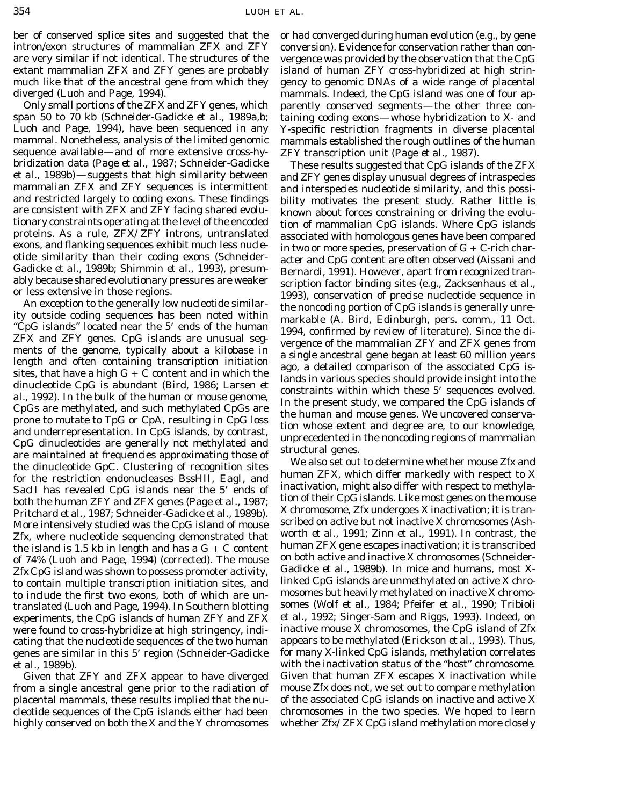span 50 to 70 kb (Schneider-Gadicke *et al.,* 1989a,b; taining coding exons—whose hybridization to X- and Luoh and Page, 1994), have been sequenced in any Y-specific restriction fragments in diverse placental mammal. Nonetheless, analysis of the limited genomic mammals established the rough outlines of the human sequence available—and of more extensive cross-hy- *ZFY* transcription unit (Page *et al.,* 1987). bridization data (Page *et al.,* 1987; Schneider-Gadicke These results suggested that CpG islands of the *ZFX et al.,* 1989b)—suggests that high similarity between and *ZFY* genes display unusual degrees of intraspecies mammalian *ZFX* and *ZFY* sequences is intermittent and interspecies nucleotide similarity, and this possi-<br>an

SacII has revealed CpG islands near the 5' ends of<br>both the human  $ZFY$  and  $ZFX$  genes (Page *et al.*, 1987;<br>Pritchard *et al.*, 1987; Schneider-Gadicke *et al.*, 1989b).<br>More intensively studied was the CpC island of mous More intensively studied was the CpG island of mouse<br>Zry where pucleotide sequencing demonstrated that worth *et al.*, 1991; Zinn *et al.*, 1991). In contrast, the *Zfx,* where nucleotide sequencing demonstrated that worth *et al.,* 1991; Zinn *et al.,* 1991). In contrast, the the island is 1.5 kb in length and has a  $G + C$  content the numan  $ZFA$  gene escapes inactivation; it is transcribed<br>of 74% (Luph and Page, 1994) (corrected). The mouse the photh active and inactive X chromosomes (Schneider of 74% (Luoh and Page, 1994) (corrected). The mouse on both active and inactive X chromosomes (Schneider-<br>*ZfxCnG* island was shown to possess promoter activity Gadicke *et al.*, 1989b). In mice and humans, most X-Zfx CpG island was shown to possess promoter activity, Gadicke *et al.*, 1989b). In mice and humans, most X-<br>to contain multiple transcription initiation sites, and linked CpG islands are unmethylated on active X chroto contain multiple transcription initiation sites, and linked CpG islands are unmethylated on active X chromo-<br>to include the first two exons, both of which are un-<br>mosomes but heavily methylated on inactive X chromotranslated (Luoh and Page, 1994). In Southern blotting somes (Wolf *et al.,* 1984; Pfeifer *et al.,* 1990; Tribioli experiments, the CpG islands of human *ZFY* and *ZFX et al.,* 1992; Singer-Sam and Riggs, 1993). Indeed, on were found to cross-hybridize at high stringency, indi- inactive mouse X chromosomes, the CpG island of *Zfx* cating that the nucleotide sequences of the two human appears to be methylated (Erickson *et al.,* 1993). Thus, genes are similar in this 5\* region (Schneider-Gadicke for many X-linked CpG islands, methylation correlates *et al.,* 1989b). with the inactivation status of the ''host'' chromosome.

from a single ancestral gene prior to the radiation of mouse *Zfx* does not, we set out to compare methylation placental mammals, these results implied that the nu- of the associated CpG islands on inactive and active X highly conserved on both the X and the Y chromosomes whether *Zfx/ZFX* CpG island methylation more closely

intron/exon structures of mammalian *ZFX* and *ZFY* conversion). Evidence for conservation rather than conare very similar if not identical. The structures of the vergence was provided by the observation that the CpG extant mammalian *ZFX* and *ZFY* genes are probably island of human *ZFY* cross-hybridized at high strinmuch like that of the ancestral gene from which they gency to genomic DNAs of a wide range of placental diverged (Luoh and Page, 1994). mammals. Indeed, the CpG island was one of four ap-Only small portions of the *ZFX* and *ZFY* genes, which parently conserved segments—the other three con-

oride similarity than their coding exons (Schneider<br>Gadicke *et al.*, 1989); Shimmin *et al.*, 1989), presume Bernard, 1993). In<br>User and CpG content are often observed (Aissani and<br>ably because shared evolutionary pressu

Given that *ZFY* and *ZFX* appear to have diverged Given that human *ZFX* escapes X inactivation while cleotide sequences of the CpG islands either had been chromosomes in the two species. We hoped to learn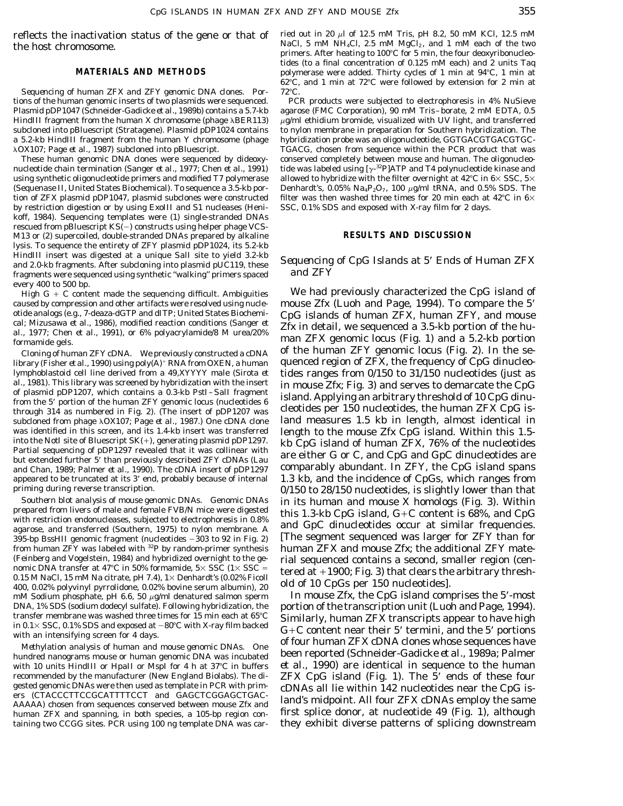Sequencing of human ZFX and ZFY genomic DNA clones. Por- 72°C. tions of the human genomic inserts of two plasmids were sequenced. PCR products were subjected to electrophoresis in 4% NuSieve Plasmid pDP1047 (Schneider-Gadicke *et al.,* 1989b) contains a 5.7-kb agarose (FMC Corporation), 90 m*M* Tris–borate, 2 m*M* EDTA, 0.5 *HindIII* fragment from the human X chromosome (phage  $\lambda$ BER113)  $\mu$ g/ml ethidium bromide, visualized with UV light, and transferred subcloned into pBluescript (Stratagene). Plasmid pDP1024 contains to nylon membrane in preparation for Southern hybridization. The a 5.2-kb *Hin*dIII fragment from the human Y chromosome (phage hybridization probe was an oligonucleotide, GGTGACGTGACGTGC-

nucleotide chain termination (Sanger *et al.,* 1977; Chen *et al.,* 1991) tide was labeled using [ $\gamma$ -<sup>32</sup>P]ATP and T4 polynucleotide kinase and using synthetic oligonucleotide primers and modified T7 polymerase allowed to hybridize with the filter overnight at 42°C in 6×SSC, 5× (Sequenase II, United States Biochemical). To sequence a 3.5-kb por- Denhardt's, 0.05% Na<sub>4</sub>P<sub>2</sub>O<sub>7</sub>, 100  $\mu$ g/ml tRNA, and 0.5% SDS. The tion of *ZFX* plasmid pDP1047, plasmid subclones were constructed filter was then washed three times for 20 min each at 42°C in  $6\times$  by restriction digestion or by using *Exo*III and S1 nucleases (Heni-SSC, 0.1% SDS and by restriction digestion or by using *Exo*III and S1 nucleases (Henikoff, 1984). Sequencing templates were (1) single-stranded DNAs rescued from pBluescript  $KS(-)$  constructs using helper phage VCS-M13 or (2) supercoiled, double-stranded DNAs prepared by alkaline **RESULTS AND DISCUSSION** lysis. To sequence the entirety of *ZFY* plasmid pDP1024, its 5.2-kb *Hin*dIII insert was digested at a unique *Sal*I site to yield 3.2-kb<br>and 2.0-kb fragments. After subcloning into plasmid pUC119, these *Sequencing of CpG Islands at 5' Ends of Human ZFX*<br>fragments were sequenced using syn fragments were sequenced using synthetic "walking" primers spaced every 400 to 500 bp.

caused by compression and other artifacts were resolved using nucle- mouse *Zfx* (Luoh and Page, 1994). To compare the 5'<br>otide analogs (e.g., 7-deaza-dGTP and dITP; United States Biochemi- CnG islands of human *ZFX* human otide analogs (e.g., 7-deaza-dGTP and dITP; United States Biochemi- CpG islands of human *ZFX,* human *ZFY,* and mouse cai; Mizusawa et al., 1986), modified reaction conditions (Sanger et  $Zfx$  in detail, we sequenced a 3.5-kb portion of the hu-<br>al., 1977; Chen et al., 1991), or 6% polyacrylamide/8 M urea/20% formamide gels. **Example gels.** man *ZFX* genomic locus (Fig. 1) and a 5.2-kb portion

library (Fisher *et al.*, 1990) using poly( $\dot{A}$ )  $^+$  RNA from OXEN, a human quenced region of *ZFX*, the frequency of CpG dinucleolymphoblastoid cell line derived from a 49,XYYYY male (Sirota *et* tides ranges from 0/150 to 31/150 nucleotides (just as al., 1981). This library was screened by hybridization with the insert<br>of plasmid pDP1207, which contains a 0.3-kb *Pst*I-*Sal*I fragment<br>from the 5' portion of the human *ZFY* genomic locus (nucleotides 6<br>through 314 as subcloned from phage  $\lambda$ OX107; Page *et al.*, 1987.) One cDNA clone land measures 1.5 kb in length, almost identical in was identified in this screen, and its 1.4-kb insert was transferred<br>into the mouse  $Zfx$  CpG island. Within this 1.5-<br>into the *Not* site of Bluescript SK(+), generating plasmid pDP1297.<br>Partial sequencing of pDP1297 reve and Chan, 1989; Palmer et al., 1990). The cDNA insert of pDP1297 appeared to be truncated at its 3\* end, probably because of internal 1.3 kb, and the incidence of CpGs, which ranges from

395-bp *Bss*HII genomic fragment (nucleotides  $-303$  to 92 in Fig. 2) [The segment sequenced was larger for *ZFY* than for from human *ZFY* was labeled with <sup>32</sup>P by random-primer synthesis human *ZFX* and mouse *Zfx;* th from human *ZFY* was labeled with <sup>32</sup>P by random-primer synthesis (Feinberg and Vogelstein, 1984) and hybridized overnight to the ge-(Feinberg and Vogelstein, 1984) and hybridized overnight to the ge-<br>nomic DNA transfer at 47°C in 50% formamide, 5× SSC (1× SSC =<br>0.15 MNaCl, 15 mMNa citrate, pH 7.4), 1× Denhardt's (0.02% Ficoll<br>400, 0.02% polyvinyl pyrr  $mM$  Sodium phosphate, pH 6.6, 50  $\mu$ g/ml denatured salmon sperm In mouse *Zfx*, the CpG island comprises the 5'-most DNA, 1% SDS (sodium dodecyl sulfate). Following hybridization, the portion of the transcription unit (Luoh and Page, 1994).<br>transfer membrane was washed three times for 15 min each at  $65^{\circ}$ C Similarly human ZEX transcr

hundred nanograms mouse or human genomic DNA was incubated been reported (Schneider-Gadicke *et al., 1989a*; Paimer<br>with 10 units *Hin*dIII or *Hpa*II or *MspI* for 4 h at 37°C in buffers *et al.,* 1990) are identical in s recommended by the manufacturer (New England Biolabs). The di- *ZFX* CpG island (Fig. 1). The 5<sup>*r*</sup> ends of these four gested genomic DNAs were then used as template in PCR with prim- cDNAs all lie within 142 pucleotides gested genomic DNAs were then used as template in PCR with prim-<br>ers (CTACCCTTCCGCATTTTCCT and GAGCTCGGAGCTGAC-<br>AAAAA) chosen from sequences conserved between mouse Zfx and and's midpoint. All four ZFX cDNAs employ the sa human *ZFX* and spanning, in both species, a 105-bp region con- first splice donor, at nucleotide 49 (Fig. 1), although taining two CCGG sites. PCR using 100 ng template DNA was car- they exhibit diverse patterns of splicing downstream

reflects the inactivation status of the gene or that of ried out in 20  $\mu$ l of 12.5 m*M* Tris, pH 8.2, 50 m*M* KCl, 12.5 m*M*<br>NaCl, 5 m*M* NH<sub>4</sub>Cl, 2.5 m*M* MgCl<sub>2</sub>, and 1 m*M* each of the two NaCl, 5 m*M* NH<sub>4</sub>Cl, 2.5 m*M* MgCl<sub>2</sub>, and 1 m*M* each of the two the two the two the two the two the two the two the two the two the two the two the two the two the two the two the two the four deoxyribonucleotides (to a final concentration of 0.125 m*M* each) and 2 units *Taq* **MATERIALS AND METHODS** polymerase were added. Thirty cycles of 1 min at 94°C, 1 min at  $62^{\circ}$ C, and 1 min at 72 $^{\circ}$ C were followed by extension for 2 min at

λOX107; Page *et al.*, 1987) subcloned into pBluescript. TGACG, chosen from sequence within the PCR product that was<br>These human genomic DNA clones were sequenced by dideoxy-<br>conserved completely between mouse and human. conserved completely between mouse and human. The oligonucleo-

 $H$ igh G + C content made the sequencing difficult. Ambiguities We had previously characterized the CpG island of *Cloning of human ZFY cDNA.* We previously constructed a cDNA of the human  $ZFY$  genomic locus (Fig. 2). In the sepriming during reverse transcription.  $0/150$  to  $28/150$  nucleotides, is slightly lower than that Southern blot analysis of mouse genomic DNAs. Genomic DNAs<br>prepared from livers of male and female FVB/N mice were digested<br>with restriction endonucleases, subjected to electrophoresis in 0.8%<br>agarose, and transferred (So

transfer membrane was washed three times for 15 min each at  $65^{\circ}$ C<br>
in 0.1× SSC, 0.1% SDS and exposed at  $-80^{\circ}$ C with X-ray film backed<br>
with an intensifying screen for 4 days.<br>
Methylation analysis of human and mou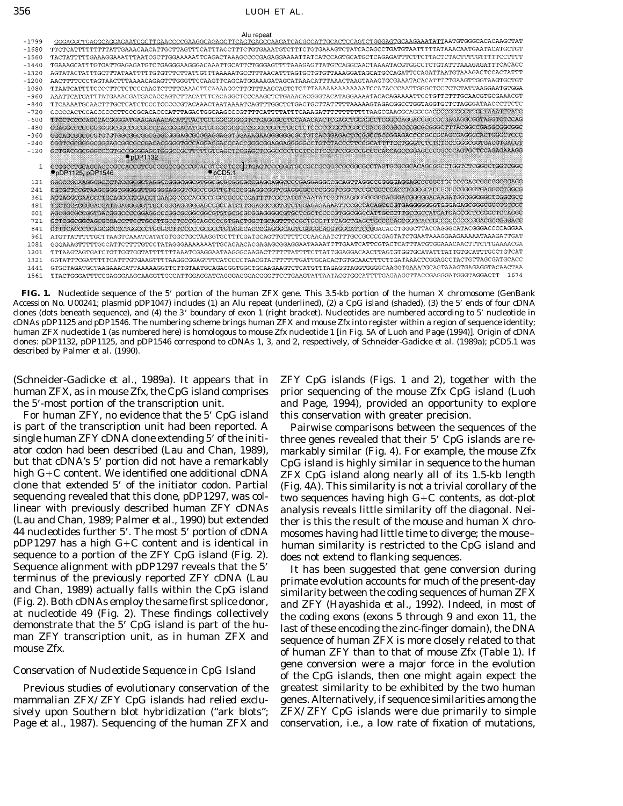## 356 LUOH ET AL.

|         | Alu repeat                                                                                                                |
|---------|---------------------------------------------------------------------------------------------------------------------------|
| -1799   | GGGAGGCTGAGGCAGGAGAATCGCTTGAACCCCGAAGGCAGAGGTTCAGTGAGCCAAGATCACGCCATTGCACTCCAGTCTGGGAGTGCAAGAAATATTAATGTGGCACACAAGCTAT    |
| $-1680$ | TTCTCATTTTTTTTTTATTGAAACAACATTGCTTAGTTTCATTTACCTTTCTGTGAAATGTCTTTCTGTGAAAGTCTATCACAGCCTGATGTAATTTTTATAAACAATGAATACATGCTGT |
| $-1560$ |                                                                                                                           |
| $-1440$ | TGAAAGCATTTGTGATTGAGAGATGTCTGAGGGAAAGGACAAATTGCATTCTGGGAGTTTTAAAGAGTTATGTCAGGCAACTAAAATACGTGGCCTCTGTATTTAAAGAGATTTCACACC  |
| -1320   | AGTATACTATTTGCTTTATAATTTTTGTGTTTCTTATTGTTTAAAAATGCCTTTAACATTTAGTGCTGTGTTAAAGGATAGCATGCCAGATTCCAGATTAATGTAAAGACTCCACTATT   |
| $-1200$ | AACTTTTCCCTAGTAACTTTAAAACAGAGTTTGGGTTCCAAGTTCAGCATGGAAAGATAGCATAAACATTTAAACTAAGTAAAGTGCGAAATACACATTTTTGAAGTTGGTAAGTGCTG   |
| $-1080$ |                                                                                                                           |
| $-960$  | AAATTCATGATTTATGAAACGATGACACCAGTCTTACATTTCACAGGCTCCCAAGCTCTGAAACACGGGTACATAGGAAAATACACAGAAAATTCCTGTTCTTTGCAACGTGCGAAACGT  |
| $-840$  | TTCAAAATGCAACTTTGCTCATCTCCCTCCCCCGTACAAACTAATAAAATCAGTTTGGCTCTGACTGCTTATTTTAAAAAGTAGACGGCCTGGTAGGTGCTCTAGGGATAACCCTTCTC   |
| $-720$  |                                                                                                                           |
| $-600$  |                                                                                                                           |
| $-480$  |                                                                                                                           |
| $-360$  |                                                                                                                           |
| $-240$  |                                                                                                                           |
| $-120$  | $\bullet$ pDP1132                                                                                                         |
|         | $\n  pbP1125, pDP1546\n$<br>$\bullet$ pCD5.1                                                                              |
| 121     |                                                                                                                           |
| 241     | CGCGCTCCGTAAGCGGGCGGGGGTTGGGGGAGGGTCGCCCGGTTGTGCCGGAGGCGGTCGAGGGCCCCGGGTCGGCTCCGCCGCCCGGCCTGGGGCACCCCCGGGGTGAGGCCTGGC     |
| 361     |                                                                                                                           |
| 481     |                                                                                                                           |
| 601     |                                                                                                                           |
| 721     |                                                                                                                           |
| 841     | GTTTCACCCTCAGCGCCCCTGGCCCTGCGCCTTCCCCCGCGCCTGTAGCCACCCGAGGCAGTCGGGGCAGCTGGCATTCCGGACACCTTGGCTTACCAGGCATACGGACCCCAGGA      |
| 961     | ATGTTATTTTTGCTTAAGTCAAATCATATGTGGCTGCTAAGGTGCTTTCGATGCATTGTTTTTCCAACAATCTTTGCCGCCCCGAGTATCTGAATAAAGGAAAAAATAAAGATTGA      |
| 1081    | GGGAAAGTTTTTGCCATTCTTTTGTCCTATAGGGAAAAAAATTGCACAACACGAGAGCGGAGGAATAAAATTTTGAATCATTCGTACTCATTTATGTGGAAACAACTTTCTTGAAAACGA  |
| 1201    |                                                                                                                           |
| 1321    | GGTATTTCGATTTTTCATTTGTGAAGTTTTAAGGCGGAGTTTCATCCCCTAACGTACTTTTTTGATTGCACACTGTGCAACTTTCTTGATAAACTCGGAGCCTACTGTTAGCGATGCAC   |
| 1441    |                                                                                                                           |
| 1561    | 1674                                                                                                                      |

**FIG. 1.** Nucleotide sequence of the 5\* portion of the human *ZFX* gene. This 3.5-kb portion of the human X chromosome (GenBank Accession No. U00241; plasmid pDP1047) includes (1) an *Alu* repeat (underlined), (2) a CpG island (shaded), (3) the 5\* ends of four cDNA clones (dots beneath sequence), and (4) the 3\* boundary of exon 1 (right bracket). Nucleotides are numbered according to 5\* nucleotide in cDNAs pDP1125 and pDP1546. The numbering scheme brings human *ZFX* and mouse *Zfx* into register within a region of sequence identity; human *ZFX* nucleotide 1 (as numbered here) is homologous to mouse *Zfx* nucleotide 1 [in Fig. 5A of Luoh and Page (1994)]. Origin of cDNA clones: pDP1132, pDP1125, and pDP1546 correspond to cDNAs 1, 3, and 2, respectively, of Schneider-Gadicke *et al.* (1989a); pCD5.1 was described by Palmer *et al.* (1990).

For human *ZFY*, no evidence that the 5' CpG island this conservation with greater precision. is part of the transcription unit had been reported. A Pairwise comparisons between the sequences of the single human *ZFY* cDNA clone extending 5' of the initi- three genes revealed that their 5' CpG islands are reator codon had been described (Lau and Chan, 1989), markably similar (Fig. 4). For example, the mouse *Zfx* but that cDNA's 5' portion did not have a remarkably CpG island is highly similar in sequence to the human high  $G+C$  content. We identified one additional cDNA  $ZFX$  CpG island along nearly all of its 1.5-kb length clone that extended 5' of the initiator codon. Partial (Fig. 4A). This similarity is not a trivial corollary of the<br>sequencing revealed that this clone, pDP1297, was col- two sequences having high G+C contents, as dot-plo linear with previously described human  $ZFY$  cDNAs analysis reveals little similarity off the diagonal. Nei-<br>(Lau and Chan, 1989; Palmer *et al.,* 1990) but extended ther is this the result of the mouse and human X chro-<br>4 44 nucleotides further 5'. The most 5' portion of cDNA<br>pDP1297 has a high G+C content and is identical in<br>sequence to a portion of the *ZFY* CpG island (Fig. 2).<br>Sequence alignment with pDP1297 reveals that the 5'<br>terminu

Page *et al.,* 1987). Sequencing of the human *ZFX* and conservation, i.e., a low rate of fixation of mutations,

(Schneider-Gadicke *et al.,* 1989a). It appears that in *ZFY* CpG islands (Figs. 1 and 2), together with the human *ZFX,* as in mouse *Zfx,* the CpG island comprises prior sequencing of the mouse *Zfx* CpG island (Luoh the 5'-most portion of the transcription unit. and Page, 1994), provided an opportunity to explore

> *ZFX* CpG island along nearly all of its 1.5-kb length two sequences having high  $G+C$  contents, as dot-plot

and Chan, 1989) actually falls within the CpG island<br>
(Fig. 2). Both cDNAs employ the same first splice donor,<br>
and *ZFY* (Hayashida *et al.*, 1992). Indeed, in most of<br>
at nucleotide 49 (Fig. 2). These findings collectiv man *ZFY* transcription unit, as in human *ZFX* and sequence of human *ZFX* is more closely related to that mouse *Zfx*. (Table 1) If of human *ZFY* than to that of mouse *Zfx* (Table 1). If gene conversion were a major force in the evolution *Conservation of Nucleotide Sequence in CpG Island* of the CpG islands, then one might again expect the Previous studies of evolutionary conservation of the greatest similarity to be exhibited by the two human mammalian *ZFX/ZFY* CpG islands had relied exclu- genes. Alternatively, if sequence similarities among the sively upon Southern blot hybridization (''ark blots''; *ZFX/ZFY* CpG islands were due primarily to simple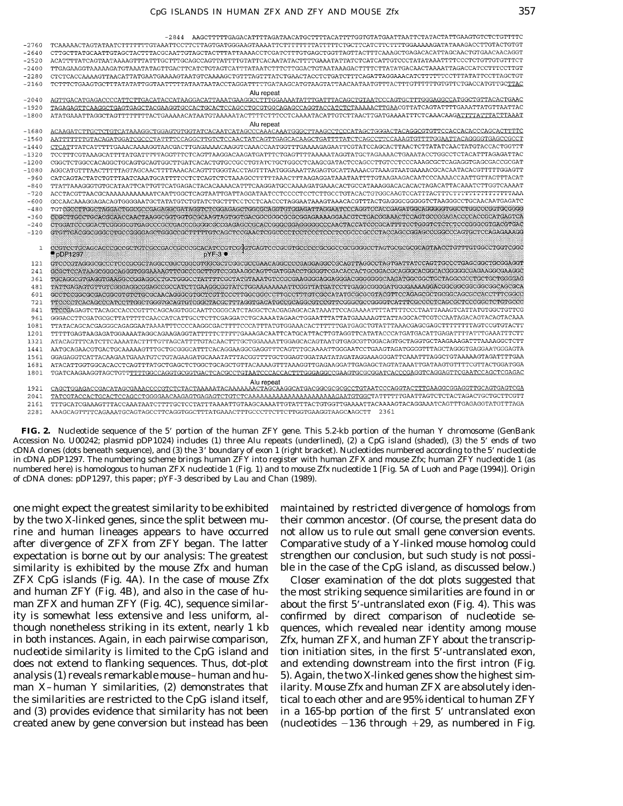|            | $-2844$                                                                                                                                                                                                                                         |
|------------|-------------------------------------------------------------------------------------------------------------------------------------------------------------------------------------------------------------------------------------------------|
| $-2760$    |                                                                                                                                                                                                                                                 |
| $-2640$    |                                                                                                                                                                                                                                                 |
| $-2520$    | ACATTTTATCAGTAATAAAAGTTTATTTGCTTTGCAGCCAGTTATTTTGTATTCACAATATACTTTTGAAATATTATCTCATCATTGTCCCTATATAAATTTTCCCTCTGTTGTGTTCT                                                                                                                         |
| $-2400$    |                                                                                                                                                                                                                                                 |
| $-2280$    | CTCTCACCAAAAGTTAACATTATGAATGAAAAGTAATGTCAAAAGCTGTTTAGTTTATCTGAACTACCTCTGATCTTTCAGATTAGGAAACATCTTTTTCCTTTATATTCCTTAGCTGT                                                                                                                         |
| $-2160$    | TCTTTCTGAAGTGCTTTATATATTGGTAATTTTATAATAATAACCTAGGATTTTTGATAAGCATGTAAGTATTAACAATAATGTTTACTTTGTTTTTTGTGTCTGACCATGTTGCTTAC                                                                                                                         |
|            | Alu repeat                                                                                                                                                                                                                                      |
| $-2040$    | AGTTGACATGAGACCCCATTCTTGACATACCATAAGGACATTAAATGAAGGCCTTTGGAAAATATTTGATTTACAGCTGTAATCCCAGTGCTTTGGGAGGCCATGGCTGTTACACTGAAC                                                                                                                        |
| $-1920$    | TAGAGAGTTCAAGGCTGAGTGAGCTACGAAGGTGCCACTGCACTCCAGCCTGCGTGGCAGAGCCAGGTACCATCTCTAAAAACTTGAACGTTATCAGTATTTTGAAATTATGTTAATTAC                                                                                                                        |
| $-1800$    |                                                                                                                                                                                                                                                 |
|            | Alu repeat                                                                                                                                                                                                                                      |
| $-1680$    |                                                                                                                                                                                                                                                 |
| $-1560$    | AATTTTTTTGTACAGATGGATCGCCCTATTTTCCAGGCTTGTCTCCAACTATCAGTTGAGCACAAGCTGATTTTATCTCAGCCTTCCAAAGTGTTTTGGAATTACAGGGGTGAGCCGCCT                                                                                                                        |
| $-1440$    | CTCATTTATCATTTTTGAAACAAAAGGTAACGACTTGAGAAAACAAGGTCAAACCAATGGTTTGAAAAGAGAATTCGTATCCAGCACTTAACTCTTATATCAACTATGTACCACTGGTTT                                                                                                                        |
| $-1320$    | TCCTTTCGTAAAGCATTTTATGATTTTTAGGTTTCTCAGTTAAGGACAAGATGATTTCTGAGTTTTAAAAATAGGTATGCTAGAAAACTGAAATACCTGGCCTCTACATTTAGAGATTAC                                                                                                                        |
| $-1200$    | CGGCTCTGGCCACAGGCTGCAGTGCAGTGGCTTGATCACACTGTGCCGCCTGTATCTGCTGGCCTCAAGCGATACTCCAGCCTTGTCCTCCCAAAGCGCTCAGAGGTGAGCGACCGCGAT                                                                                                                        |
| $-1080$    | AGGCATGTTTAACTTTTAGTAGCAACTTTTAAACACAGTTTGGGTACCTAGTTTAATGGGAAATTAGAGTGCATTAAAACGTAAAGTAATGAAAACGCACAATACACGTTTTTGGAGTT                                                                                                                         |
| $-960$     | CATCAGTACTATCTGTTTAATCAAATGCATTTTCCTCTCAGTCTCTAAAGCCTTTTTAAACTTTAAGAGGATAAATATTTTGTAAGAAGACAATCCCAAAACCAATTGTTAGTTTACAT                                                                                                                         |
| $-840$     |                                                                                                                                                                                                                                                 |
| $-720$     |                                                                                                                                                                                                                                                 |
| $-600$     | GCCAACAAAGGAGACAGTGGGGAATGCTATATGTCTGTATCTGCTTTCCTCCTCAACCCTAGGAATAAAGTAAACACGTTTACTGAGGGCGGGGTCTAAGGGCCTGCAACAATGAGATC                                                                                                                         |
| $-480$     |                                                                                                                                                                                                                                                 |
| $-360$     | CCGCTTGCCTGCACGCAACCAACTAAGGCGGTGGTGCGCAAGTAGTGGTGACGGCGGGGCGGGAGAAAAGGAACGTCTGACGGAAACTCCAGTGCCGGAGACCCCACGGATGAGTCA                                                                                                                           |
| $-240$     |                                                                                                                                                                                                                                                 |
| $-120$     |                                                                                                                                                                                                                                                 |
|            |                                                                                                                                                                                                                                                 |
| $1\,$      | CCGTCCTGCAGCAGCCGCCGCTGTCGCCGACCGCCGCACATCCGTCGGGTGAGTCCCGCGTGCCCCGCGGGGCCGGGGCCTAGTGCGCGCAGTAACCTGTTTGTGGCCTGGTCGGC<br>$\bullet$ pDP1297<br>$pYF-3$                                                                                            |
|            |                                                                                                                                                                                                                                                 |
| 121        | GTCCCGTAGGGCGCCCTCCCGCGCTAGGCCGGCCGGCGTGGCGCTCGGCGCCGAACAGGCCCCGAGGAGGCCGCAGTTAGGCCTAGTGATTATCCAGTGCCCTGAGCGGCTGCGGAGGT                                                                                                                         |
| 241        | GCGCTCCATAAGCGGGCAGGGTGGGAAAAGTTCGCCCGCTTGTCCGGAAGGCAGTTGATGGACCTGGGGTCGACACCACTGCGGACGCAGGGCACGGGGCGGGAAAGGCGAAGGCGAA<br>TGCAGGCGTGAGGTGAAGGCCGGAGGCCTGCTGGGCCTATTTTCGCTATGTAAATGTCCGCGAAGGGGAGGAGGGGCGGGGGCAAGATGGCGGCTGCTAGGCGCTGCTGCTGGGGAG |
| 361<br>481 | TATTGAGAGTGTTGTCGGGAGGCGGAGCCGCCATCTTGAAGGCGGTATCTGGAAAAAAATTCGGTTATGATCCTTGAGGCGGGATGGGGAAAAGGACGCGGCGGCGGCGGCAGCGCA                                                                                                                           |
| 601        | GCCTCCGGCGGGGGGGGCGTGTCTGCGCAACAGGGCGTGCTCCTTCCCTTGGCGGCCCTTGCCTTTGTCGCCATATGCGCGCGTACGTTCCAGAGCGCTGCGGCAGCGCCACCTTTCGGCC                                                                                                                       |
| 721        | TTCCCCTCACAGCCCATCCTTGGCTGGGTGCAGTGTCGGCTACGCTTTAGGTGACATGCCGCAGGCGTCCGTTCGGGCGGCGGGTCATTTCGCCCCCTCAGCGCTCCCGGCTCTGTGCCC                                                                                                                        |
|            | TTCCGAGAGTCTACAGCCACCCGTTTCAGCAGGTGGCAATTCGGGCATCTAGGCTCACGAGAGCACATAAATTCCAGAAAATTTTATTTTCCCTAATTAAAGTCATTATGTGGCTGTTCG                                                                                                                        |
| 841<br>961 | GGGACCTTCGATGCGCTTATTTTTCAACCATCATTGCCTCTTCGAGGATCTGCAAAATAGAACTGGAATTTATTATGAAAAAGTTATTAGGCACTCGTCCAATAGACAGTACAGTACAAA                                                                                                                        |
|            |                                                                                                                                                                                                                                                 |
| 1081       |                                                                                                                                                                                                                                                 |
| 1201       | TTTTGAGTAAGAGATGGAAAATAGGCAGAAGAGGTATTTTTCTTTTGAAAGACAATTCATGCATTACTTGTAGGTTCATATACCCATGATGACATTGAGATTTTATTTGAAATTTCTT                                                                                                                          |
| 1321       |                                                                                                                                                                                                                                                 |
| 1441       | AATGCAGAACGTGACTGCAAAAAGTTTGCTGCGGGCATTTCACAGGAAGGCGAGGTTTCAGTTTGCAAAATTGGGAATCCTGAAGTAGATGGGGTTTAGCTAGGGTGAGGAATGGGAGTA                                                                                                                        |
| 1561       |                                                                                                                                                                                                                                                 |
| 1681       |                                                                                                                                                                                                                                                 |
| 1801       | TGATCAAGAAGGTAGCTGTTTTTTGGCCAGGTGCGGTGACTCACGCCTGTAATCCCACCACTTTGGGAGGCCGAAGTGCGCGGATCACCCGAGGTCAGGAGTTCGAATCCAGCTCGAGAC                                                                                                                        |
|            | Alu repeat                                                                                                                                                                                                                                      |
| 1921       | CAGCTGGAGACCGACATAGCGAAACCCCGTCTCTACTAAAAATACAAAAAAACTAGCAAGGCATGACGGCGCGCCTGTAATCCCAGGTACTTTGAAGGCGGAGGTTGCAGTGAGTCGA                                                                                                                          |
| 2041       |                                                                                                                                                                                                                                                 |
| 2161       | TTTGCATCAAAAGTTTACCAAATAATCTTTTGCTCCTATTTAAAATTTAAGAAAAGTTGTATTTACTGTGGTTGAAAAGTACAAAGTACAGGAAATCAGTTTGAGAGGTATGTTTAGA                                                                                                                          |

**FIG. 2.** Nucleotide sequence of the 5\* portion of the human *ZFY* gene. This 5.2-kb portion of the human Y chromosome (GenBank Accession No. U00242; plasmid pDP1024) includes (1) three *Alu* repeats (underlined), (2) a CpG island (shaded), (3) the 5\* ends of two cDNA clones (dots beneath sequence), and (3) the 3\* boundary of exon 1 (right bracket). Nucleotides numbered according to the 5\* nucleotide in cDNA pDP1297. The numbering scheme brings human *ZFY* into register with human *ZFX* and mouse *Zfx;* human *ZFY* nucleotide 1 (as numbered here) is homologous to human *ZFX* nucleotide 1 (Fig. 1) and to mouse *Zfx* nucleotide 1 [Fig. 5A of Luoh and Page (1994)]. Origin of cDNA clones: pDP1297, this paper; pYF-3 described by Lau and Chan (1989).

one might expect the greatest similarity to be exhibited maintained by restricted divergence of homologs from by the two X-linked genes, since the split between mu- their common ancestor. (Of course, the present data do rine and human lineages appears to have occurred not allow us to rule out small gene conversion events. after divergence of *ZFX* from *ZFY* began. The latter Comparative study of a Y-linked mouse homolog could expectation is borne out by our analysis: The greatest strengthen our conclusion, but such study is not possisimilarity is exhibited by the mouse *Zfx* and human ble in the case of the CpG island, as discussed below.) *ZFX* CpG islands (Fig. 4A). In the case of mouse *Zfx* Closer examination of the dot plots suggested that and human *ZFY* (Fig. 4B), and also in the case of hu- the most striking sequence similarities are found in or man *ZFX* and human *ZFY* (Fig. 4C), sequence similar- about the first 5'-untranslated exon (Fig. 4). This was ity is somewhat less extensive and less uniform, al- confirmed by direct comparison of nucleotide sethough nonetheless striking in its extent, nearly 1 kb quences, which revealed near identity among mouse in both instances. Again, in each pairwise comparison, *Zfx,* human *ZFX,* and human *ZFY* about the transcripnucleotide similarity is limited to the CpG island and tion initiation sites, in the first 5'-untranslated exon, does not extend to flanking sequences. Thus, dot-plot and extending downstream into the first intron (Fig. analysis (1) reveals remarkable mouse–human and hu- 5). Again, the two X-linked genes show the highest simman X–human Y similarities, (2) demonstrates that ilarity. Mouse *Zfx* and human *ZFX* are absolutely identhe similarities are restricted to the CpG island itself, tical to each other and are 95% identical to human *ZFY* and (3) provides evidence that similarity has not been in a 165-bp portion of the first 5' untranslated exon created anew by gene conversion but instead has been (nucleotides  $-136$  through  $+29$ , as numbered in Fig.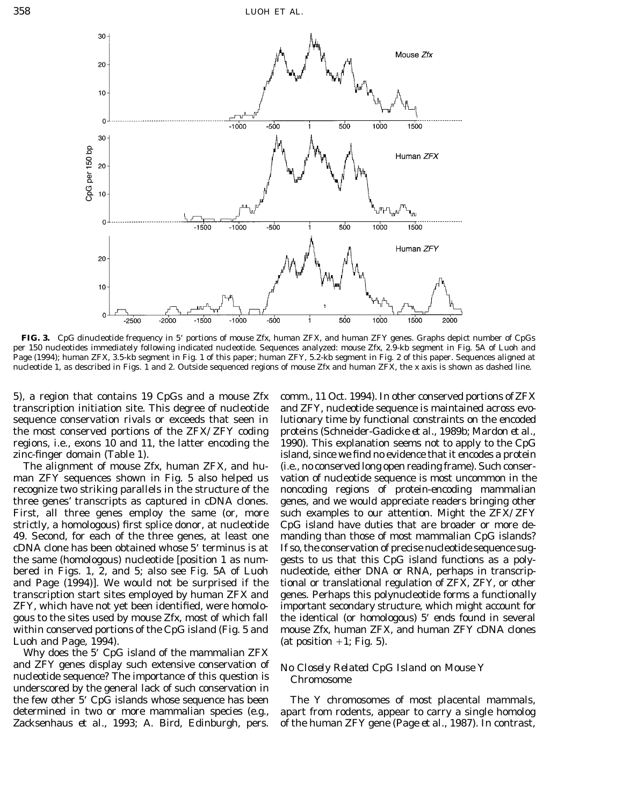

**FIG. 3.** CpG dinucleotide frequency in 5\* portions of mouse *Zfx,* human *ZFX,* and human *ZFY* genes. Graphs depict number of CpGs per 150 nucleotides immediately following indicated nucleotide. Sequences analyzed: mouse *Zfx,* 2.9-kb segment in Fig. 5A of Luoh and Page (1994); human *ZFX,* 3.5-kb segment in Fig. 1 of this paper; human *ZFY,* 5.2-kb segment in Fig. 2 of this paper. Sequences aligned at nucleotide 1, as described in Figs. 1 and 2. Outside sequenced regions of mouse *Zfx* and human *ZFX,* the *x* axis is shown as dashed line.

5), a region that contains 19 CpGs and a mouse *Zfx* comm., 11 Oct. 1994). In other conserved portions of*ZFX*

Luoh and Page, 1994).  $\qquad \qquad$  (at position +1; Fig. 5).

Why does the 5\* CpG island of the mammalian *ZFX* and *ZFY* genes display such extensive conservation of *No Closely Related CpG Island on Mouse Y* nucleotide sequence? The importance of this question is *Chromosome* underscored by the general lack of such conservation in the few other 5\* CpG islands whose sequence has been The Y chromosomes of most placental mammals, determined in two or more mammalian species (e.g., apart from rodents, appear to carry a single homolog Zacksenhaus *et al.,* 1993; A. Bird, Edinburgh, pers. of the human *ZFY* gene (Page *et al.,* 1987). In contrast,

transcription initiation site. This degree of nucleotide and *ZFY,* nucleotide sequence is maintained across evosequence conservation rivals or exceeds that seen in lutionary time by functional constraints on the encoded the most conserved portions of the *ZFX/ZFY* coding proteins (Schneider-Gadicke *et al.,* 1989b; Mardon *et al.,* regions, i.e., exons 10 and 11, the latter encoding the 1990). This explanation seems not to apply to the CpG zinc-finger domain (Table 1). island, since we find no evidence that it encodes a protein The alignment of mouse *Zfx*, human *ZFX*, and hu- (i.e., no conserved long open reading frame). Such conserman *ZFY* sequences shown in Fig. 5 also helped us vation of nucleotide sequence is most uncommon in the recognize two striking parallels in the structure of the noncoding regions of protein-encoding mammalian three genes' transcripts as captured in cDNA clones. genes, and we would appreciate readers bringing other First, all three genes employ the same (or, more such examples to our attention. Might the *ZFX/ZFY* strictly, a homologous) first splice donor, at nucleotide CpG island have duties that are broader or more de-49. Second, for each of the three genes, at least one manding than those of most mammalian CpG islands? cDNA clone has been obtained whose 5\* terminus is at If so, the conservation of precise nucleotide sequence sugthe same (homologous) nucleotide [position 1 as num- gests to us that this CpG island functions as a polybered in Figs. 1, 2, and 5; also see Fig. 5A of Luoh nucleotide, either DNA or RNA, perhaps in transcripand Page (1994)]. We would not be surprised if the tional or translational regulation of *ZFX, ZFY,* or other transcription start sites employed by human *ZFX* and genes. Perhaps this polynucleotide forms a functionally *ZFY,* which have not yet been identified, were homolo- important secondary structure, which might account for gous to the sites used by mouse *Zfx,* most of which fall the identical (or homologous) 5\* ends found in several within conserved portions of the CpG island (Fig. 5 and mouse *Zfx,* human *ZFX,* and human *ZFY* cDNA clones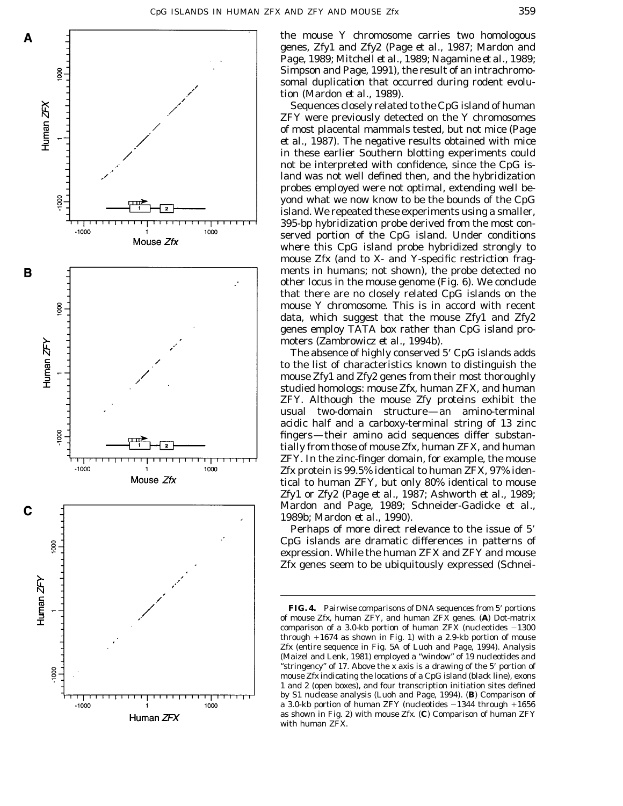

the mouse Y chromosome carries two homologous genes, *Zfy1* and *Zfy2* (Page *et al.,* 1987; Mardon and Page, 1989; Mitchell *et al.,* 1989; Nagamine *et al.,* 1989; Simpson and Page, 1991), the result of an intrachromosomal duplication that occurred during rodent evolution (Mardon *et al.,* 1989).

Sequences closely related to the CpG island of human *ZFY* were previously detected on the Y chromosomes of most placental mammals tested, but not mice (Page *et al.,* 1987). The negative results obtained with mice in these earlier Southern blotting experiments could not be interpreted with confidence, since the CpG island was not well defined then, and the hybridization probes employed were not optimal, extending well beyond what we now know to be the bounds of the CpG island. We repeated these experiments using a smaller, 395-bp hybridization probe derived from the most conserved portion of the CpG island. Under conditions where this CpG island probe hybridized strongly to mouse *Zfx* (and to X- and Y-specific restriction fragments in humans; not shown), the probe detected no other locus in the mouse genome (Fig. 6). We conclude that there are no closely related CpG islands on the mouse Y chromosome. This is in accord with recent data, which suggest that the mouse *Zfy1* and *Zfy2* genes employ TATA box rather than CpG island promoters (Zambrowicz *et al.,* 1994b).

The absence of highly conserved 5' CpG islands adds to the list of characteristics known to distinguish the mouse *Zfy1* and *Zfy2* genes from their most thoroughly studied homologs: mouse *Zfx,* human *ZFX,* and human *ZFY.* Although the mouse Zfy proteins exhibit the usual two-domain structure—an amino-terminal acidic half and a carboxy-terminal string of 13 zinc fingers—their amino acid sequences differ substantially from those of mouse Zfx, human ZFX, and human ZFY. In the zinc-finger domain, for example, the mouse Zfx protein is 99.5% identical to human ZFX, 97% identical to human ZFY, but only 80% identical to mouse Zfy1 or Zfy2 (Page *et al.,* 1987; Ashworth *et al.,* 1989; Mardon and Page, 1989; Schneider-Gadicke *et al.,* 1989b; Mardon *et al.,* 1990).

Perhaps of more direct relevance to the issue of 5' CpG islands are dramatic differences in patterns of expression. While the human *ZFX* and *ZFY* and mouse *Zfx* genes seem to be ubiquitously expressed (Schnei-

FIG. 4. Pairwise comparisons of DNA sequences from 5' portions of mouse *Zfx,* human *ZFY,* and human *ZFX* genes. (**A**) Dot-matrix comparison of a 3.0-kb portion of human  $ZFX$  (nucleotides  $-1300$ through  $+1674$  as shown in Fig. 1) with a 2.9-kb portion of mouse *Zfx* (entire sequence in Fig. 5A of Luoh and Page, 1994). Analysis (Maizel and Lenk, 1981) employed a ''window'' of 19 nucleotides and "stringency" of 17. Above the *x* axis is a drawing of the 5' portion of mouse *Zfx* indicating the locations of a CpG island (black line), exons 1 and 2 (open boxes), and four transcription initiation sites defined by S1 nuclease analysis (Luoh and Page, 1994). (**B**) Comparison of a 3.0-kb portion of human *ZFY* (nucleotides  $-1344$  through  $+1656$ as shown in Fig. 2) with mouse *Zfx.* (**C**) Comparison of human *ZFY* with human *ZFX.*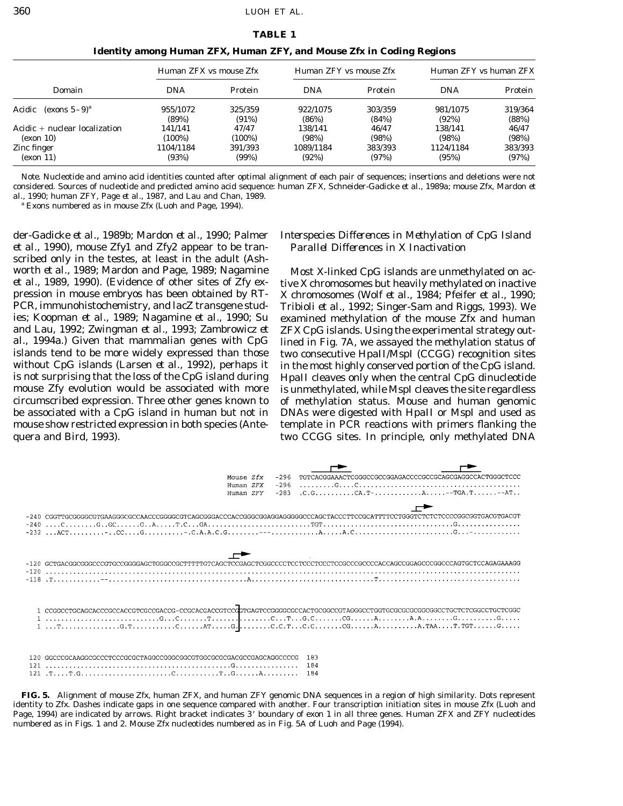| <b>TABLE 1</b> |  |
|----------------|--|
|----------------|--|

|                                       | Human ZFX vs mouse Zfx |                | Human ZFY vs mouse Zfx |                | Human ZFY vs human ZFX |         |
|---------------------------------------|------------------------|----------------|------------------------|----------------|------------------------|---------|
| Domain                                | <b>DNA</b>             | <b>Protein</b> | <b>DNA</b>             | <b>Protein</b> | <b>DNA</b>             | Protein |
| Acidic<br>(exons $5-9$ ) <sup>a</sup> | 955/1072               | 325/359        | 922/1075               | 303/359        | 981/1075               | 319/364 |
|                                       | (89%)                  | $(91\%)$       | (86%)                  | (84%)          | (92%)                  | (88%)   |
| Acidic + nuclear localization         | 141/141                | 47/47          | 138/141                | 46/47          | 138/141                | 46/47   |
| (exon 10)                             | (100%)                 | $(100\%)$      | (98%)                  | (98%)          | (98%)                  | (98%)   |
| Zinc finger                           | 1104/1184              | 391/393        | 1089/1184              | 383/393        | 1124/1184              | 383/393 |
| (exon 11)                             | (93%)                  | (99%)          | (92%)                  | (97%)          | (95%)                  | (97%)   |

**Identity among Human** *ZFX,* **Human** *ZFY,* **and Mouse** *Zfx* **in Coding Regions**

*Note.* Nucleotide and amino acid identities counted after optimal alignment of each pair of sequences; insertions and deletions were not considered. Sources of nucleotide and predicted amino acid sequence: human *ZFX,* Schneider-Gadicke *et al.,* 1989a; mouse *Zfx,* Mardon *et al.,* 1990; human *ZFY,* Page *et al.,* 1987, and Lau and Chan, 1989.

*<sup>a</sup>* Exons numbered as in mouse *Zfx* (Luoh and Page, 1994).

der-Gadicke *et al.,* 1989b; Mardon *et al.,* 1990; Palmer *Interspecies Differences in Methylation of CpG Island et al.,* 1990), mouse *Zfy1* and *Zfy2* appear to be tran- *Parallel Differences in X Inactivation* scribed only in the testes, at least in the adult (Ashworth *et al.,* 1989; Mardon and Page, 1989; Nagamine Most X-linked CpG islands are unmethylated on ac-<br>*et al.,* 1989, 1990). (Evidence of other sites of *Zfy* ex-tive X chromosomes but heavily methylated on inactive pression in mouse embryos has been obtained by RT- X chromosomes (Wolf *et al.,* 1984; Pfeifer *et al.,* 1990; ies; Koopman *et al.,* 1989; Nagamine *et al.,* 1990; Su examined methylation of the mouse *Zfx* and human and Lau, 1992; Zwingman *et al.,* 1993; Zambrowicz *et ZFX* CpG islands. Using the experimental strategy out*al.,* 1994a.) Given that mammalian genes with CpG lined in Fig. 7A, we assayed the methylation status of islands tend to be more widely expressed than those two consecutive *Hpa*II/*Msp*I (CCGG) recognition sites without CpG islands (Larsen *et al.,* 1992), perhaps it in the most highly conserved portion of the CpG island. is not surprising that the loss of the CpG island during *Hpa*II cleaves only when the central CpG dinucleotide mouse *Zfy* evolution would be associated with more is unmethylated, while *Msp*I cleaves the site regardless circumscribed expression. Three other genes known to of methylation status. Mouse and human genomic be associated with a CpG island in human but not in DNAs were digested with *Hpa*II or *Msp*I and used as mouse show restricted expression in both species (Ante- template in PCR reactions with primers flanking the quera and Bird, 1993). two CCGG sites. In principle, only methylated DNA

tive X chromosomes but heavily methylated on inactive Tribioli et al., 1992; Singer-Sam and *Riggs*, 1993). We



**FIG. 5.** Alignment of mouse *Zfx,* human *ZFX,* and human *ZFY* genomic DNA sequences in a region of high similarity. Dots represent identity to *Zfx.* Dashes indicate gaps in one sequence compared with another. Four transcription initiation sites in mouse *Zfx* (Luoh and Page, 1994) are indicated by arrows. Right bracket indicates 3\* boundary of exon 1 in all three genes. Human *ZFX* and *ZFY* nucleotides numbered as in Figs. 1 and 2. Mouse *Zfx* nucleotides numbered as in Fig. 5A of Luoh and Page (1994).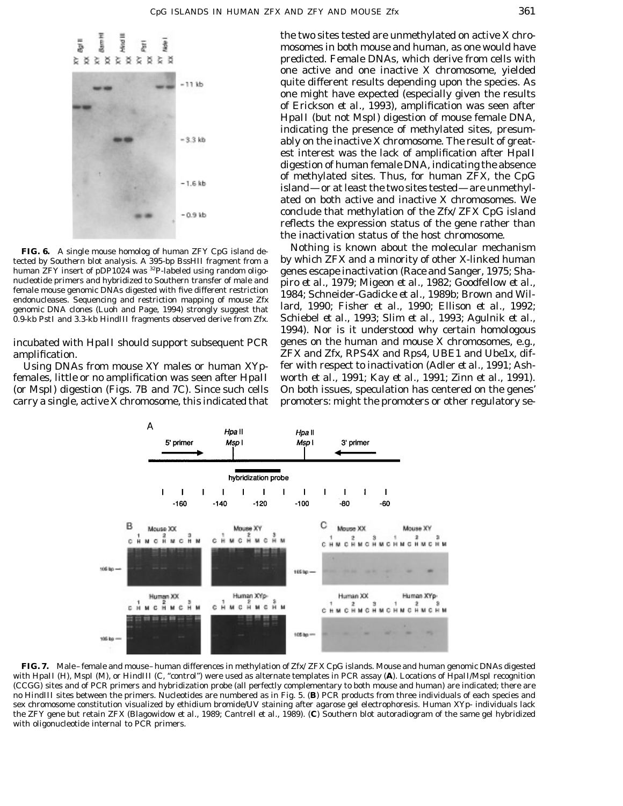

amplification. *ZFX* and *Zfx, RPS4X* and *Rps4, UBE1* and *Ube1x,* dif-

females, little or no amplification was seen after *Hpa*II worth *et al.,* 1991; Kay *et al.,* 1991; Zinn *et al.,* 1991). (or *MspI*) digestion (Figs. 7B and 7C). Since such cells On both issues, speculation has centered on the genes' carry a single, active X chromosome, this indicated that promoters: might the promoters or other regulatory se-

the two sites tested are unmethylated on active X chromosomes in both mouse and human, as one would have predicted. Female DNAs, which derive from cells with one active and one inactive X chromosome, yielded quite different results depending upon the species. As one might have expected (especially given the results of Erickson *et al.,* 1993), amplification was seen after *Hpa*II (but not *Msp*I) digestion of mouse female DNA, indicating the presence of methylated sites, presumably on the inactive X chromosome. The result of greatest interest was the lack of amplification after *Hpa*II digestion of human female DNA, indicating the absence of methylated sites. Thus, for human *ZFX,* the CpG island—or at least the two sites tested—are unmethylated on both active and inactive X chromosomes. We conclude that methylation of the *Zfx/ZFX* CpG island reflects the expression status of the gene rather than the inactivation status of the host chromosome.

**FIG. 6.** A single mouse homolog of human *ZFY* CpG island de-<br>tected by Southern blot analysis. A 395-bp *Bss*HII fragment from a by which *ZFX* and a minority of other X-linked human by which *ZFX* and a minority of other X-linked human human *ZFY* insert of pDP1024 was <sup>32</sup>P-labeled using random oligo-<br>nucleotide primers and hybridized to Southern transfer of male and prime et al. 1979: Migeon et al. 1982: Goodfellow et al. nucleotide primers and hybridized to Southern transfer of male and<br>female mouse genomic DNAs digested with five different restriction<br>endonucleases. Sequencing and restriction mapping of mouse Zfx<br>genomic DNA clones (Luoh 0.9-kb *Pst*I and 3.3-kb *Hin*dIII fragments observed derive from *Zfx.* Schiebel *et al.,* 1993; Slim *et al.,* 1993; Agulnik *et al.,* 1994). Nor is it understood why certain homologous incubated with *Hpa*II should support subsequent PCR genes on the human and mouse X chromosomes, e.g., Using DNAs from mouse XY males or human XYp- fer with respect to inactivation (Adler *et al.,* 1991; Ash-



**FIG. 7.** Male–female and mouse–human differences in methylation of *Zfx/ZFX* CpG islands. Mouse and human genomic DNAs digested with *Hpa*II (H), *Msp*I (M), or *Hin*dIII (C, ''control'') were used as alternate templates in PCR assay (**A**). Locations of *Hpa*II/*Msp*I recognition (CCGG) sites and of PCR primers and hybridization probe (all perfectly complementary to both mouse and human) are indicated; there are no *Hin*dIII sites between the primers. Nucleotides are numbered as in Fig. 5. (**B**) PCR products from three individuals of each species and sex chromosome constitution visualized by ethidium bromide/UV staining after agarose gel electrophoresis. Human XYp- individuals lack the *ZFY* gene but retain *ZFX* (Blagowidow *et al.,* 1989; Cantrell *et al.,* 1989). (**C**) Southern blot autoradiogram of the same gel hybridized with oligonucleotide internal to PCR primers.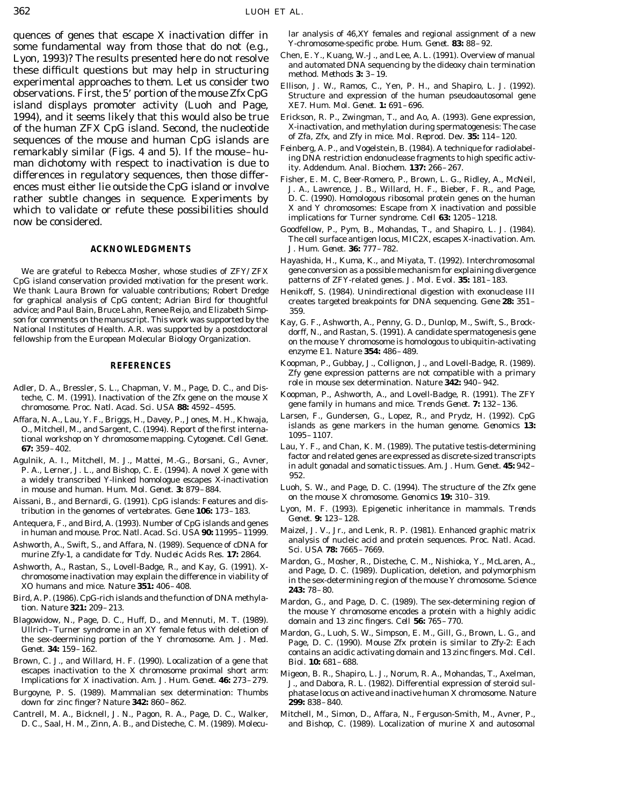quences of genes that escape X inactivation differ in lar analysis of 46,XY females and regional assignment of a new<br>some fundamental way from those that do not (e.g. Y-chromosome-specific probe. Hum. Genet. 83: 88–92. some fundamental way from those that do not (e.g.,<br>Lyon, 1993)? The results presented here do not resolve<br>these difficult questions but may help in structuring<br>experimental approaches to them. Let us consider two<br>experime island displays promoter activity (Luoh and Page, XE7. *Hum. Mol. Genet.* **1:** 691–696. 1994), and it seems likely that this would also be true Erickson, R. P., Zwingman, T., and Ao, A. (1993). Gene expression, of the human  $ZFX$ CnG island. Second, the nucleotide X-inactivation, and methylation during spermat of the human *ZFX* CpG island. Second, the nucleotide X-inactivation, and methylation during spermatogenesis: The cantument of *Zfa, Zfx*, and *Zfy* in mice. *Mol. Reprod. Dev.* 35: 114–120. sequences of the mouse and human CpG islands are<br>remarkably similar (Figs. 4 and 5). If the mouse - hu-<br>man dichotomy with respect to inactivation is due to<br>ity. Addendum. Anal. Biochem. 137: 266–267. differences in regulatory sequences, then those differ- Fisher, E. M. C, Beer-Romero, P., Brown, L. G., Ridley, A., McNeil, ences must either lie outside the CpG island or involve J. A., Lawrence, J. B., Willard, H. F., Bieber, F. R., and Page, rather subtle changes in sequence. Experiments by D. C. (1990). Homologous ribosomal protein genes on the human which to validate or refute these possibilities should X and Y chromosomes: Escape from X inactivation and possible implications for Turner syndrome. *Cell* **63:** 1205–1218. now be considered.

CpG island conservation provided motivation for the present work. We thank Laura Brown for valuable contributions; Robert Dredge Henikoff, S. (1984). Unindirectional digestion with exonuclease III<br>for graphical analysis of CpG content; Adrian Bird for thoughtful creates targeted breakpoi advice; and Paul Bain, Bruce Lahn, Renee Reijo, and Elizabeth Simp- 359. son for comments on the manuscript. This work was supported by the Kay, G. F., Ashworth, A., Penny, G. D., Dunlop, M., Swift, S., Brock-<br>National Institutes of Health. A.R. was supported by a postdoctoral dorff, N., and Ra

- Adler, D. A., Bressler, S. L., Chapman, V. M., Page, D. C., and Distriction and mouse sex determination. *Nature* **342:** 940–942.<br>
teche, C. M. (1991). Inactivation of the *Zfx* gene on the mouse X<br>
chromosome. *Proc. Natl*
- Affara, N. A., Lau, Y. F., Briggs, H., Davey, P., Jones, M. H., Khwaja,<br>
O., Mitchell, M., and Sargent, C. (1994). Report of the first internaine islands as gene markers in the human genome. *Genomics* 13:<br>
tional workshop
- Agulnik, A. I., Mitchell, M. J., Mattei, M.-G., Borsani, G., Avner,<br>P. A., Lerner, J. L., and Bishop, C. E. (1994). A novel X gene with<br>a widely transcribed Y-linked homologue escapes X-inactivation<br>a widely transcribed Y-
- Aissani, B., and Bernardi, G. (1991). CpG islands: Features and dis-<br>tribution in the genomes of vertebrates. Gene 106: 173–183. Lyon, M. F. (1993). Epigenetic inheritance in mammals. Trends<br>Genet. 9: 123–128.
- Antequera, F., and Bird, A. (1993). Number of CpG islands and genes<br>in human and mouse. Proc. Natl. Acad. Sci. USA **90:** 11995–11999. Maizel, J. V., Jr., and Lenk, R. P. (1981). Enhanced graphic matrix<br>A showed A. Scille S
- Ashworth, A., Swift, S., and Affara, N. (1989). Sequence of cDNA for<br>murine *Zfy-1*, a candidate for *Tdy. Nucleic Acids Res.* 17: 2864. *Sci. USA* 78: 7665–7669.<br>Mardon, G., Mosher, R., Disteche, C. M., Nishioka, Y., McLa
- 
- 
- Blagowidow, N., Page, D. C., Huff, D., and Mennuti, M. T. (1989). domain and 13 zinc fingers. *Cell* **56:** 765–770.
- Brown, C. J., and Willard, H. F. (1990). Localization of a gene that *Biol.* **10:** 681–688.
- down for zinc finger? *Nature* **342:** 860–862. **299:** 838–840.
- 

- 
- observations. First, the 5' portion of the mouse Zfx CpG<br>observations. First, the 5' portion of the mouse Zfx CpG<br>Structure and expression of the human pseudoautosomal gene
	-
	-
	-
	- Goodfellow, P., Pym, B., Mohandas, T., and Shapiro, L. J. (1984). The cell surface antigen locus, *MIC2X,* escapes X-inactivation. *Am.* **ACKNOWLEDGMENTS** *J. Hum. Genet.* **36:** 777–782.
	- Hayashida, H., Kuma, K., and Miyata, T. (1992). Interchromosomal We are grateful to Rebecca Mosher, whose studies of *ZFY/ZFX* gene conversion as a possible mechanism for explaining divergence<br>pG island conservation provided motivation for the present work. patterns of *ZFY*-related gen
		- for graphical analysis of CPNA sequencing. Gene 28: 351–
		- enzyme E1. *Nature* **354:** 486–489.
		- **REFERENCES** Koopman, P., Gubbay, J., Collignon, J., and Lovell-Badge, R. (1989). *Zfy* gene expression patterns are not compatible with a primary
			-
			-
	- **67:** 359–402.<br>
	Lau, Y. F., and Chan, K. M. (1989). The putative testis-determining<br>
	ractor and related genes are expressed as discrete-sized transcripts
	- in mouse and human. *Hum. Mol. Genet.* **3:** 879–884. Luoh, S. W., and Page, D. C. (1994). The structure of the *Zfx* gene
		-
		-
- Ashworth, A., Rastan, S., Lovell-Badge, R., and Kay, G. (1991). X<br>
chromosome inactivation may explain the difference in viability of<br>
The sex-determining region of the mouse Y chromosome. *Science*<br>
XO humans and mice. *N* 
	- rrd, A. P. (1986). CpG-rich islands and the function of DNA methyla-<br>tion. *Nature* **321:** 209–213.<br>the mouse Y chromosome encodes a protein with a highly acidic
	- Ullrich–Turner syndrome in an XY temale fetus with deletion of Mardon, G., Luoh, S. W., Simpson, E. M., Gill, G., Brown, L. G., and the sex-deermining portion of the Y chromosome. Am. J. Med. Page, D. C. (1990). Mouse Zfx
- escapes inactivation to the X chromosome proximal short arm: Migeon, B. R., Shapiro, L. J., Norum, R. A., Mohandas, T., Axelman, Implications for X inactivation. Am. J. Hum. Genet. **46:** 273–279. J., and Dabora, R. L. (19 phatase locus on active and inactive human X chromosome. Nature
- Cantrell, M. A., Bicknell, J. N., Pagon, R. A., Page, D. C., Walker, Mitchell, M., Simon, D., Affara, N., Ferguson-Smith, M., Avner, P., D. C., Saal, H. M., Zinn, A. B., and Disteche, C. M. (1989). Molecu- and Bishop, C. (1989). Localization of murine X and autosomal